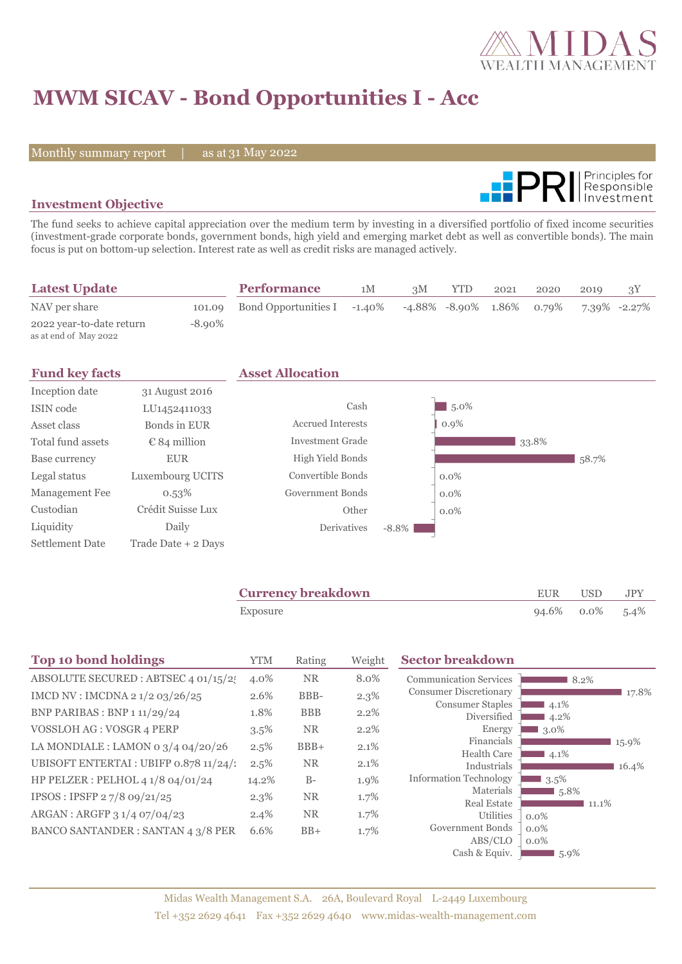

# **MWM SICAV - Bond Opportunities I - Acc**

Monthly summary report | as at 31 May 2022



### **Investment Objective**

The fund seeks to achieve capital appreciation over the medium term by investing in a diversified portfolio of fixed income securities (investment-grade corporate bonds, government bonds, high yield and emerging market debt as well as convertible bonds). The main focus is put on bottom-up selection. Interest rate as well as credit risks are managed actively.

| <b>Latest Update</b>                              |           | <b>Performance</b>                 | 1M | 3M                        | <b>YTD</b> | 2021 | 2020 | 2019 |              |
|---------------------------------------------------|-----------|------------------------------------|----|---------------------------|------------|------|------|------|--------------|
| NAV per share                                     |           | 101.09 Bond Opportunities I -1.40% |    | -4.88% -8.90% 1.86% 0.79% |            |      |      |      | 7.39% -2.27% |
| 2022 year-to-date return<br>as at end of May 2022 | $-8.90\%$ |                                    |    |                           |            |      |      |      |              |

| <b>Fund key facts</b>  |                          | <b>Asset Allocation</b>  |          |         |       |       |
|------------------------|--------------------------|--------------------------|----------|---------|-------|-------|
| Inception date         | 31 August 2016           |                          |          |         |       |       |
| ISIN code              | LU <sub>1452411033</sub> | Cash                     |          | $5.0\%$ |       |       |
| Asset class            | Bonds in EUR             | <b>Accrued Interests</b> |          | $0.9\%$ |       |       |
| Total fund assets      | $\epsilon$ 84 million    | <b>Investment Grade</b>  |          |         | 33.8% |       |
| Base currency          | <b>EUR</b>               | High Yield Bonds         |          |         |       | 58.7% |
| Legal status           | Luxembourg UCITS         | Convertible Bonds        |          | $0.0\%$ |       |       |
| Management Fee         | 0.53%                    | Government Bonds         |          | $0.0\%$ |       |       |
| Custodian              | Crédit Suisse Lux        | Other                    |          | $0.0\%$ |       |       |
| Liquidity              | Daily                    | Derivatives              | $-8.8\%$ |         |       |       |
| <b>Settlement Date</b> | Trade Date + 2 Days      |                          |          |         |       |       |

| <b>Currency breakdown</b> | EUR | <b>USD</b>      | JPY |
|---------------------------|-----|-----------------|-----|
| Exposure                  |     | 94.6% 0.0% 5.4% |     |

| <b>Top 10 bond holdings</b>              | <b>YTM</b> | Rating     | Weight  | <b>Sector breakdown</b>                      |                    |       |
|------------------------------------------|------------|------------|---------|----------------------------------------------|--------------------|-------|
| ABSOLUTE SECURED : ABTSEC 4 01/15/2      | 4.0%       | <b>NR</b>  | 8.0%    | <b>Communication Services</b>                | 8.2%               |       |
| IMCD NV : IMCDNA 2 1/2 03/26/25          | 2.6%       | BBB-       | $2.3\%$ | <b>Consumer Discretionary</b>                |                    | 17.8% |
| <b>BNP PARIBAS : BNP 1 11/29/24</b>      | 1.8%       | <b>BBB</b> | 2.2%    | <b>Consumer Staples</b><br>Diversified       | $4.1\%$<br>$4.2\%$ |       |
| VOSSLOH AG : VOSGR 4 PERP                | $3.5\%$    | <b>NR</b>  | 2.2%    | Energy                                       | 3.0%               |       |
| LA MONDIALE : LAMON 0 $3/4$ 04/20/26     | 2.5%       | $BBB+$     | $2.1\%$ | Financials                                   |                    | 15.9% |
| UBISOFT ENTERTAI : UBIFP 0.878 11/24/1   | 2.5%       | <b>NR</b>  | 2.1%    | <b>Health Care</b>                           | $14.1\%$           |       |
| HP PELZER : PELHOL 4 1/8 04/01/24        |            | $B-$       |         | Industrials<br><b>Information Technology</b> | $3.5\%$            | 16.4% |
|                                          | 14.2%      |            | 1.9%    | Materials                                    | 5.8%               |       |
| IPSOS: IPSFP 27/8 09/21/25               | $2.3\%$    | <b>NR</b>  | 1.7%    | <b>Real Estate</b>                           | 11.1%              |       |
| ARGAN : ARGFP 3 1/4 07/04/23             | 2.4%       | <b>NR</b>  | 1.7%    | <b>Utilities</b>                             | $0.0\%$            |       |
| <b>BANCO SANTANDER: SANTAN 4 3/8 PER</b> | 6.6%       | $BB+$      | 1.7%    | Government Bonds                             | $0.0\%$            |       |
|                                          |            |            |         | ABS/CLO                                      | $0.0\%$            |       |
|                                          |            |            |         | Cash & Equiv.                                | $5.9\%$            |       |